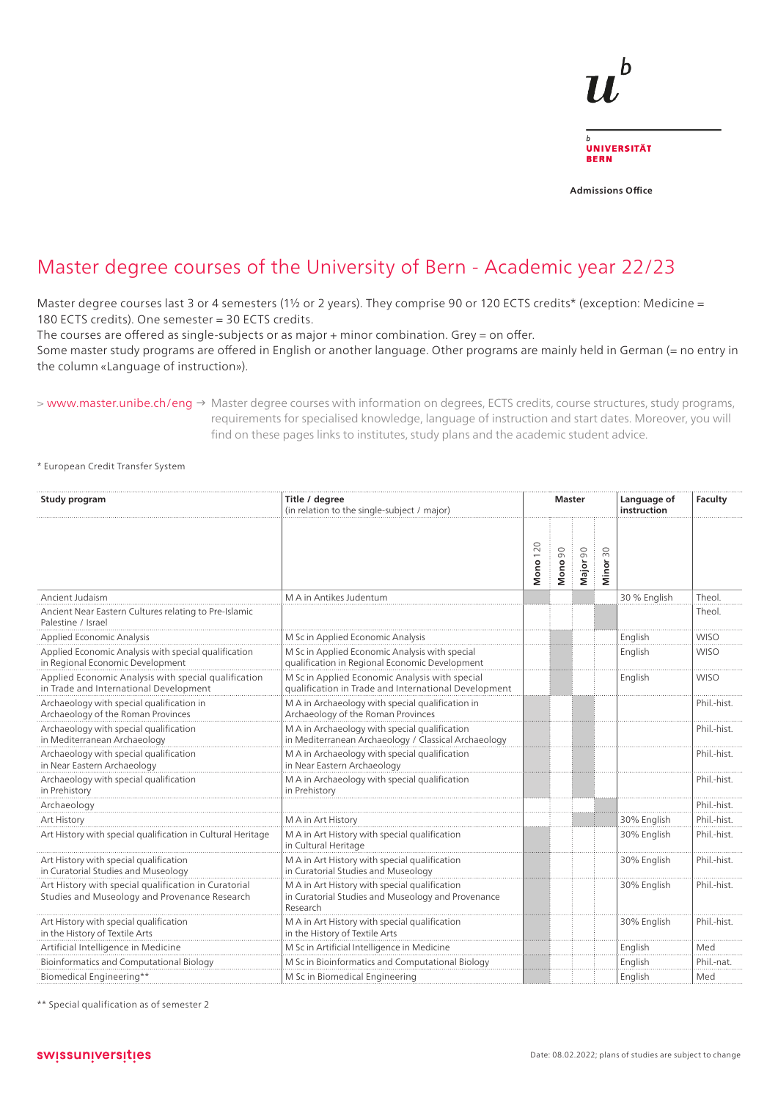

**Admissions Office**

## Master degree courses of the University of Bern - Academic year 22/23

Master degree courses last 3 or 4 semesters (1½ or 2 years). They comprise 90 or 120 ECTS credits\* (exception: Medicine = 180 ECTS credits). One semester = 30 ECTS credits.

The courses are offered as single-subjects or as major + minor combination. Grey = on offer.

Some master study programs are offered in English or another language. Other programs are mainly held in German (= no entry in the column «Language of instruction»).

> www.master.unibe.ch/eng → Master degree courses with information on degrees, ECTS credits, course structures, study programs, requirements for specialised knowledge, language of instruction and start dates. Moreover, you will find on these pages links to institutes, study plans and the academic student advice.

\* European Credit Transfer System

| Study program                                                                                         | Title / degree<br>(in relation to the single-subject / major)                                                   |                 | Master  |          |                    | Language of<br>instruction | Faculty     |
|-------------------------------------------------------------------------------------------------------|-----------------------------------------------------------------------------------------------------------------|-----------------|---------|----------|--------------------|----------------------------|-------------|
|                                                                                                       |                                                                                                                 | <b>Mono</b> 120 | Mono 90 | Major 90 | $\approx$<br>Minor |                            |             |
| Ancient Judaism                                                                                       | M A in Antikes Judentum                                                                                         |                 |         |          |                    | 30 % English               | Theol       |
| Ancient Near Eastern Cultures relating to Pre-Islamic<br>Palestine / Israel                           |                                                                                                                 |                 |         |          |                    |                            | Theol.      |
| Applied Economic Analysis                                                                             | M Sc in Applied Economic Analysis                                                                               |                 |         |          |                    | English                    | <b>WISO</b> |
| Applied Economic Analysis with special qualification<br>in Regional Economic Development              | M Sc in Applied Economic Analysis with special<br>qualification in Regional Economic Development                |                 |         |          |                    | English                    | <b>WISO</b> |
| Applied Economic Analysis with special qualification<br>in Trade and International Development        | M Sc in Applied Economic Analysis with special<br>qualification in Trade and International Development          |                 |         |          |                    | English                    | <b>WISO</b> |
| Archaeology with special qualification in<br>Archaeology of the Roman Provinces                       | M A in Archaeology with special qualification in<br>Archaeology of the Roman Provinces                          |                 |         |          |                    |                            | Phil.-hist. |
| Archaeology with special qualification<br>in Mediterranean Archaeology                                | M A in Archaeology with special qualification<br>in Mediterranean Archaeology / Classical Archaeology           |                 |         |          |                    |                            | Phil.-hist. |
| Archaeology with special qualification<br>in Near Eastern Archaeology                                 | M A in Archaeology with special qualification<br>in Near Eastern Archaeology                                    |                 |         |          |                    |                            | Phil.-hist. |
| Archaeology with special qualification<br>in Prehistory                                               | M A in Archaeology with special qualification<br>in Prehistory                                                  |                 |         |          |                    |                            | Phil.-hist. |
| Archaeology                                                                                           |                                                                                                                 |                 |         |          |                    |                            | Phil.-hist. |
| Art History                                                                                           | M A in Art History                                                                                              |                 |         |          |                    | 30% English                | Phil.-hist. |
| Art History with special qualification in Cultural Heritage                                           | M A in Art History with special qualification<br>in Cultural Heritage                                           |                 |         |          |                    | 30% English                | Phil.-hist. |
| Art History with special qualification<br>in Curatorial Studies and Museology                         | M A in Art History with special qualification<br>in Curatorial Studies and Museology                            |                 |         |          |                    | 30% English                | Phil.-hist. |
| Art History with special qualification in Curatorial<br>Studies and Museology and Provenance Research | M A in Art History with special qualification<br>in Curatorial Studies and Museology and Provenance<br>Research |                 |         |          |                    | 30% English                | Phil.-hist. |
| Art History with special qualification<br>in the History of Textile Arts                              | M A in Art History with special qualification<br>in the History of Textile Arts                                 |                 |         |          |                    | 30% English                | Phil.-hist. |
| Artificial Intelligence in Medicine                                                                   | M Sc in Artificial Intelligence in Medicine                                                                     |                 |         |          |                    | English                    | Med         |
| Bioinformatics and Computational Biology                                                              | M Sc in Bioinformatics and Computational Biology                                                                |                 |         |          |                    | English                    | Phil.-nat.  |
| Biomedical Engineering**                                                                              | M Sc in Biomedical Engineering                                                                                  |                 |         |          |                    | English                    | Med         |

\*\* Special qualification as of semester 2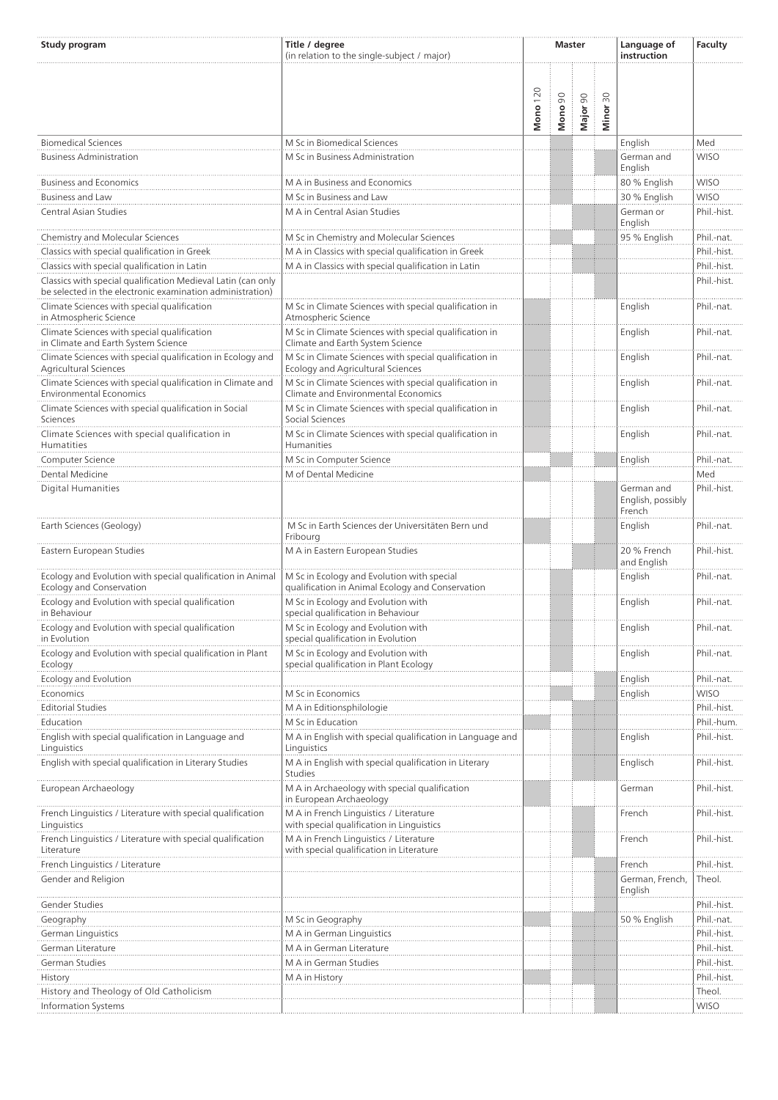| Study program                                                                                                             | Title / degree<br>(in relation to the single-subject / major)                                  | <b>Master</b>   |         |          |                                 | Language of<br>instruction                | Faculty                   |
|---------------------------------------------------------------------------------------------------------------------------|------------------------------------------------------------------------------------------------|-----------------|---------|----------|---------------------------------|-------------------------------------------|---------------------------|
|                                                                                                                           |                                                                                                | <b>Mono</b> 120 | Mono 90 | Major 90 | $\overline{50}$<br><b>Minor</b> |                                           |                           |
| <b>Biomedical Sciences</b>                                                                                                | M Sc in Biomedical Sciences                                                                    |                 |         |          |                                 | English                                   | Med                       |
| <b>Business Administration</b>                                                                                            | M Sc in Business Administration                                                                |                 |         |          |                                 | German and<br>English                     | <b>WISO</b>               |
| <b>Business and Economics</b>                                                                                             | M A in Business and Economics                                                                  |                 |         |          |                                 | 80 % English                              | <b>WISO</b>               |
| <b>Business and Law</b>                                                                                                   | M Sc in Business and Law                                                                       |                 |         |          |                                 | 30 % English                              | <b>WISO</b>               |
| Central Asian Studies                                                                                                     | M A in Central Asian Studies                                                                   |                 |         |          |                                 | German or<br>English                      | Phil.-hist.               |
| Chemistry and Molecular Sciences                                                                                          | M Sc in Chemistry and Molecular Sciences                                                       |                 |         |          |                                 | 95 % English                              | Phil.-nat.                |
| Classics with special qualification in Greek                                                                              | M A in Classics with special qualification in Greek                                            |                 |         |          |                                 |                                           | Phil.-hist.               |
| Classics with special qualification in Latin                                                                              | M A in Classics with special qualification in Latin                                            |                 |         |          |                                 |                                           | Phil.-hist.               |
| Classics with special qualification Medieval Latin (can only<br>be selected in the electronic examination administration) |                                                                                                |                 |         |          |                                 |                                           | Phil.-hist.               |
| Climate Sciences with special qualification<br>in Atmospheric Science                                                     | M Sc in Climate Sciences with special qualification in<br>Atmospheric Science                  |                 |         |          |                                 | English                                   | Phil.-nat.                |
| Climate Sciences with special qualification<br>in Climate and Earth System Science                                        | M Sc in Climate Sciences with special qualification in<br>Climate and Earth System Science     |                 |         |          |                                 | English                                   | Phil.-nat.                |
| Climate Sciences with special qualification in Ecology and<br><b>Agricultural Sciences</b>                                | M Sc in Climate Sciences with special qualification in<br>Ecology and Agricultural Sciences    |                 |         |          |                                 | English                                   | Phil.-nat.                |
| Climate Sciences with special qualification in Climate and<br><b>Environmental Economics</b>                              | M Sc in Climate Sciences with special qualification in<br>Climate and Environmental Economics  |                 |         |          |                                 | English                                   | Phil.-nat.                |
| Climate Sciences with special qualification in Social<br>Sciences                                                         | M Sc in Climate Sciences with special qualification in<br>Social Sciences                      |                 |         |          |                                 | English                                   | Phil.-nat.                |
| Climate Sciences with special qualification in<br>Humatities                                                              | M Sc in Climate Sciences with special qualification in<br>Humanities                           |                 |         |          |                                 | English                                   | Phil.-nat.                |
|                                                                                                                           |                                                                                                |                 |         |          |                                 |                                           | Phil.-nat.                |
| Computer Science<br>Dental Medicine                                                                                       | M Sc in Computer Science<br>M of Dental Medicine                                               |                 |         |          |                                 | English                                   | Med                       |
| <b>Digital Humanities</b>                                                                                                 |                                                                                                |                 |         |          |                                 | German and<br>English, possibly<br>French | Phil.-hist.               |
| Earth Sciences (Geology)                                                                                                  | M Sc in Earth Sciences der Universitäten Bern und<br>Fribourg                                  |                 |         |          |                                 | English                                   | Phil.-nat.                |
| Eastern European Studies                                                                                                  | M A in Eastern European Studies                                                                |                 |         |          |                                 | 20 % French<br>and English                | Phil.-hist.               |
| Ecology and Evolution with special qualification in Animal<br>Ecology and Conservation                                    | M Sc in Ecology and Evolution with special<br>qualification in Animal Ecology and Conservation |                 |         |          |                                 | English                                   | Phil.-nat.                |
| Ecology and Evolution with special qualification<br>in Behaviour                                                          | M Sc in Ecology and Evolution with<br>special qualification in Behaviour                       |                 |         |          |                                 | English                                   | Phil.-nat.                |
| Ecology and Evolution with special qualification<br>in Evolution                                                          | M Sc in Ecology and Evolution with<br>special qualification in Evolution                       |                 |         |          |                                 | English                                   | Phil.-nat.                |
| Ecology and Evolution with special qualification in Plant<br>Ecology                                                      | M Sc in Ecology and Evolution with<br>special qualification in Plant Ecology                   |                 |         |          |                                 | English                                   | Phil.-nat.                |
| Ecology and Evolution                                                                                                     |                                                                                                |                 |         |          |                                 | English                                   | Phil.-nat.                |
| Economics                                                                                                                 | M Sc in Economics                                                                              |                 |         |          |                                 | English                                   | <b>WISO</b>               |
| <b>Editorial Studies</b>                                                                                                  | M A in Editionsphilologie                                                                      |                 |         |          |                                 |                                           | Phil.-hist.               |
| Education                                                                                                                 | M Sc in Education                                                                              |                 |         |          |                                 |                                           | Phil.-hum.                |
| English with special qualification in Language and<br>Linguistics                                                         | M A in English with special qualification in Language and<br>Linguistics                       |                 |         |          |                                 | English                                   | Phil.-hist.               |
| English with special qualification in Literary Studies                                                                    | M A in English with special qualification in Literary<br><b>Studies</b>                        |                 |         |          |                                 | Englisch                                  | Phil.-hist.               |
| European Archaeology                                                                                                      | M A in Archaeology with special qualification<br>in European Archaeology                       |                 |         |          |                                 | German                                    | Phil.-hist.               |
| French Linguistics / Literature with special qualification<br>Linguistics                                                 | M A in French Linguistics / Literature<br>with special qualification in Linguistics            |                 |         |          |                                 | French                                    | Phil.-hist.               |
| French Linguistics / Literature with special qualification<br>Literature                                                  | M A in French Linguistics / Literature<br>with special qualification in Literature             |                 |         |          |                                 | French                                    | Phil.-hist.               |
| French Linguistics / Literature                                                                                           |                                                                                                |                 |         |          |                                 | French                                    | Phil.-hist.               |
| Gender and Religion                                                                                                       |                                                                                                |                 |         |          |                                 | German, French,<br>English                | Theol.                    |
| Gender Studies<br>Geography                                                                                               | M Sc in Geography                                                                              |                 |         |          |                                 | 50 % English                              | Phil.-hist.<br>Phil.-nat. |
| German Linguistics                                                                                                        | M A in German Linguistics                                                                      |                 |         |          |                                 |                                           | Phil.-hist.               |
| German Literature                                                                                                         | M A in German Literature                                                                       |                 |         |          |                                 |                                           | Phil.-hist.               |
| German Studies                                                                                                            | M A in German Studies                                                                          |                 |         |          |                                 |                                           | Phil.-hist.               |
|                                                                                                                           |                                                                                                |                 |         |          |                                 |                                           |                           |
| History                                                                                                                   | M A in History                                                                                 |                 |         |          |                                 |                                           | Phil.-hist.               |
| History and Theology of Old Catholicism                                                                                   |                                                                                                |                 |         |          |                                 |                                           | Theol.<br><b>WISO</b>     |
| <b>Information Systems</b>                                                                                                |                                                                                                |                 |         |          |                                 |                                           |                           |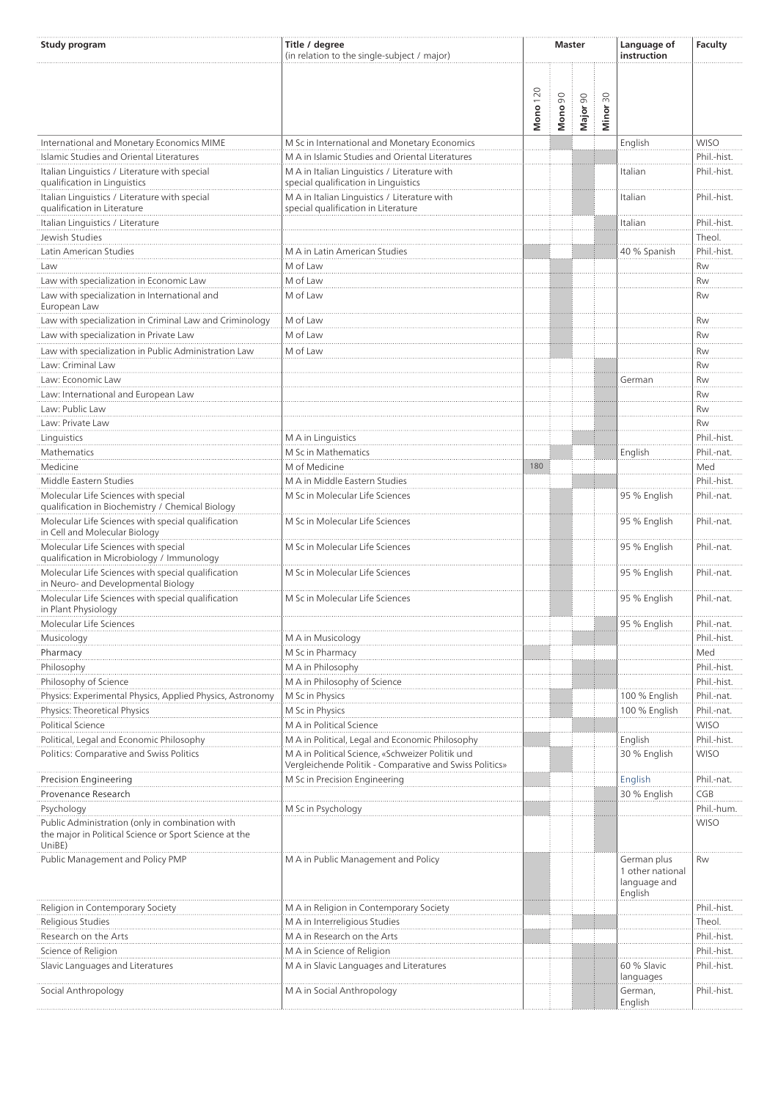| Study program                                                                             | Title / degree<br>(in relation to the single-subject / major)                                                                                                  | <b>Master</b>   |         |          | Language of<br>instruction  | Faculty                                                    |                            |
|-------------------------------------------------------------------------------------------|----------------------------------------------------------------------------------------------------------------------------------------------------------------|-----------------|---------|----------|-----------------------------|------------------------------------------------------------|----------------------------|
|                                                                                           |                                                                                                                                                                | <b>Mono</b> 120 | Mono 90 | Major 90 | $\approx 0$<br><b>Minor</b> |                                                            |                            |
| International and Monetary Economics MIME                                                 | M Sc in International and Monetary Economics                                                                                                                   |                 |         |          |                             | English                                                    | <b>WISO</b>                |
| Islamic Studies and Oriental Literatures                                                  | M A in Islamic Studies and Oriental Literatures                                                                                                                |                 |         |          |                             |                                                            | Phil.-hist.                |
| Italian Linguistics / Literature with special                                             | M A in Italian Linguistics / Literature with                                                                                                                   |                 |         |          |                             | Italian                                                    | Phil.-hist.                |
| qualification in Linguistics                                                              | special qualification in Linguistics                                                                                                                           |                 |         |          |                             |                                                            |                            |
| Italian Linguistics / Literature with special                                             | M A in Italian Linguistics / Literature with                                                                                                                   |                 |         |          |                             | Italian                                                    | Phil.-hist.                |
| qualification in Literature                                                               | special qualification in Literature                                                                                                                            |                 |         |          |                             |                                                            |                            |
| Italian Linguistics / Literature<br>Jewish Studies                                        |                                                                                                                                                                |                 |         |          |                             | Italian                                                    | Phil.-hist.<br>Theol.      |
| Latin American Studies                                                                    | M A in Latin American Studies                                                                                                                                  |                 |         |          |                             | 40 % Spanish                                               | Phil.-hist.                |
| Law                                                                                       | M of Law                                                                                                                                                       |                 |         |          |                             |                                                            | <b>Rw</b>                  |
| Law with specialization in Economic Law                                                   | M of Law                                                                                                                                                       |                 |         |          |                             |                                                            | Rw                         |
| Law with specialization in International and                                              | M of Law                                                                                                                                                       |                 |         |          |                             |                                                            | Rw                         |
| European Law                                                                              |                                                                                                                                                                |                 |         |          |                             |                                                            |                            |
| Law with specialization in Criminal Law and Criminology                                   | M of Law                                                                                                                                                       |                 |         |          |                             |                                                            | Rw                         |
| Law with specialization in Private Law                                                    | M of Law                                                                                                                                                       |                 |         |          |                             |                                                            | Rw                         |
| Law with specialization in Public Administration Law                                      | M of Law                                                                                                                                                       |                 |         |          |                             |                                                            | Rw                         |
| Law: Criminal Law                                                                         |                                                                                                                                                                |                 |         |          |                             |                                                            | Rw                         |
| Law: Economic Law                                                                         |                                                                                                                                                                |                 |         |          |                             | German                                                     | Rw                         |
| Law: International and European Law                                                       |                                                                                                                                                                |                 |         |          |                             |                                                            | Rw                         |
| Law: Public Law                                                                           |                                                                                                                                                                |                 |         |          |                             |                                                            | Rw                         |
| Law: Private Law                                                                          |                                                                                                                                                                |                 |         |          |                             |                                                            | Rw                         |
| Linguistics                                                                               | M A in Linguistics                                                                                                                                             |                 |         |          |                             |                                                            | Phil.-hist.                |
| Mathematics                                                                               | M Sc in Mathematics                                                                                                                                            |                 |         |          |                             | English                                                    | Phil.-nat.                 |
| Medicine                                                                                  | M of Medicine                                                                                                                                                  | 180             |         |          |                             |                                                            | Med                        |
| Middle Eastern Studies<br>Molecular Life Sciences with special                            | M A in Middle Eastern Studies<br>M Sc in Molecular Life Sciences                                                                                               |                 |         |          |                             | 95 % English                                               | Phil.-hist.<br>Phil.-nat.  |
| qualification in Biochemistry / Chemical Biology                                          |                                                                                                                                                                |                 |         |          |                             |                                                            |                            |
| Molecular Life Sciences with special qualification<br>in Cell and Molecular Biology       | M Sc in Molecular Life Sciences                                                                                                                                |                 |         |          |                             | 95 % English                                               | Phil.-nat.                 |
| Molecular Life Sciences with special<br>qualification in Microbiology / Immunology        | M Sc in Molecular Life Sciences                                                                                                                                |                 |         |          |                             | 95 % English                                               | Phil.-nat.                 |
| Molecular Life Sciences with special qualification<br>in Neuro- and Developmental Biology | M Sc in Molecular Life Sciences                                                                                                                                |                 |         |          |                             | 95 % English                                               | Phil.-nat.                 |
| Molecular Life Sciences with special qualification<br>in Plant Physiology                 | M Sc in Molecular Life Sciences                                                                                                                                |                 |         |          |                             | 95 % English                                               | Phil.-nat.                 |
| Molecular Life Sciences                                                                   |                                                                                                                                                                |                 |         |          |                             | 95 % English                                               | Phil.-nat.                 |
| Musicology                                                                                | M A in Musicology                                                                                                                                              |                 |         |          |                             |                                                            | Phil.-hist.                |
| Pharmacy                                                                                  | M Sc in Pharmacy                                                                                                                                               |                 |         |          |                             |                                                            | Med                        |
| Philosophy                                                                                | M A in Philosophy                                                                                                                                              |                 |         |          |                             |                                                            | Phil.-hist.                |
| Philosophy of Science                                                                     | M A in Philosophy of Science                                                                                                                                   |                 |         |          |                             |                                                            | Phil.-hist.                |
| Physics: Experimental Physics, Applied Physics, Astronomy                                 | M Sc in Physics                                                                                                                                                |                 |         |          |                             | 100 % English                                              | Phil.-nat.                 |
| Physics: Theoretical Physics                                                              | M Sc in Physics                                                                                                                                                |                 |         |          |                             | 100 % English                                              | Phil.-nat.                 |
| Political Science                                                                         | M A in Political Science                                                                                                                                       |                 |         |          |                             |                                                            | <b>WISO</b>                |
| Political, Legal and Economic Philosophy<br>Politics: Comparative and Swiss Politics      | M A in Political, Legal and Economic Philosophy<br>M A in Political Science, «Schweizer Politik und<br>Vergleichende Politik - Comparative and Swiss Politics» |                 |         |          |                             | English<br>30 % English                                    | Phil.-hist.<br><b>WISO</b> |
| Precision Engineering                                                                     | M Sc in Precision Engineering                                                                                                                                  |                 |         |          |                             | English                                                    | Phil.-nat.                 |
| Provenance Research                                                                       |                                                                                                                                                                |                 |         |          |                             | 30 % English                                               | CGB                        |
| Psychology                                                                                | M Sc in Psychology                                                                                                                                             |                 |         |          |                             |                                                            | Phil.-hum.                 |
| Public Administration (only in combination with                                           |                                                                                                                                                                |                 |         |          |                             |                                                            | <b>WISO</b>                |
| the major in Political Science or Sport Science at the<br>UniBE)                          |                                                                                                                                                                |                 |         |          |                             |                                                            |                            |
| Public Management and Policy PMP                                                          | M A in Public Management and Policy                                                                                                                            |                 |         |          |                             | German plus<br>1 other national<br>language and<br>English | Rw                         |
| Religion in Contemporary Society                                                          | M A in Religion in Contemporary Society                                                                                                                        |                 |         |          |                             |                                                            | Phil.-hist.                |
| Religious Studies                                                                         | M A in Interreligious Studies                                                                                                                                  |                 |         |          |                             |                                                            | Theol.                     |
| Research on the Arts                                                                      | M A in Research on the Arts                                                                                                                                    |                 |         |          |                             |                                                            | Phil.-hist.                |
| Science of Religion                                                                       | M A in Science of Religion                                                                                                                                     |                 |         |          |                             |                                                            | Phil.-hist.                |
| Slavic Languages and Literatures                                                          | M A in Slavic Languages and Literatures                                                                                                                        |                 |         |          |                             | 60 % Slavic<br>languages                                   | Phil.-hist.                |
| Social Anthropology                                                                       | M A in Social Anthropology                                                                                                                                     |                 |         |          |                             | German,<br>English                                         | Phil.-hist.                |